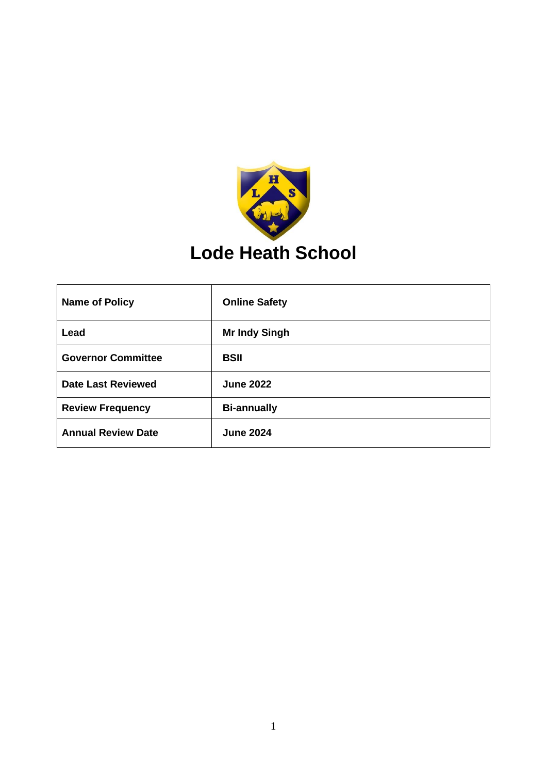

| <b>Name of Policy</b>     | <b>Online Safety</b> |
|---------------------------|----------------------|
| Lead                      | <b>Mr Indy Singh</b> |
| <b>Governor Committee</b> | <b>BSII</b>          |
| <b>Date Last Reviewed</b> | <b>June 2022</b>     |
| <b>Review Frequency</b>   | <b>Bi-annually</b>   |
| <b>Annual Review Date</b> | <b>June 2024</b>     |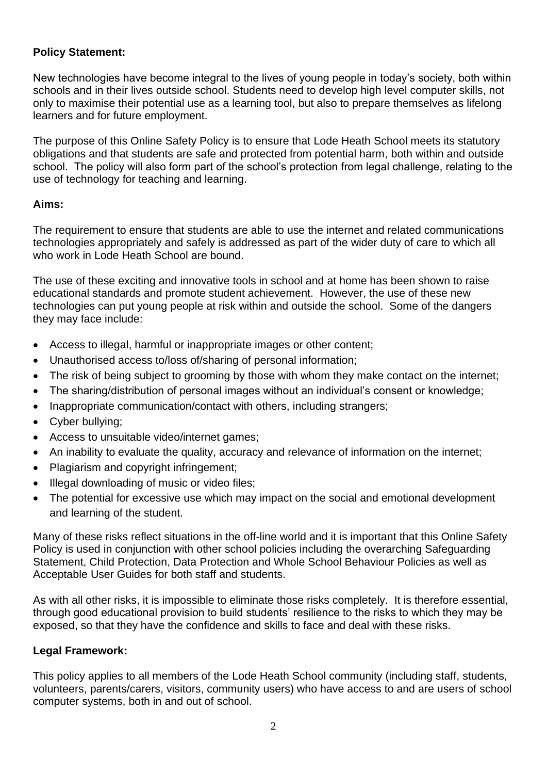### **Policy Statement:**

New technologies have become integral to the lives of young people in today's society, both within schools and in their lives outside school. Students need to develop high level computer skills, not only to maximise their potential use as a learning tool, but also to prepare themselves as lifelong learners and for future employment.

The purpose of this Online Safety Policy is to ensure that Lode Heath School meets its statutory obligations and that students are safe and protected from potential harm, both within and outside school. The policy will also form part of the school's protection from legal challenge, relating to the use of technology for teaching and learning.

### **Aims:**

The requirement to ensure that students are able to use the internet and related communications technologies appropriately and safely is addressed as part of the wider duty of care to which all who work in Lode Heath School are bound.

The use of these exciting and innovative tools in school and at home has been shown to raise educational standards and promote student achievement. However, the use of these new technologies can put young people at risk within and outside the school. Some of the dangers they may face include:

- Access to illegal, harmful or inappropriate images or other content;
- Unauthorised access to/loss of/sharing of personal information;
- The risk of being subject to grooming by those with whom they make contact on the internet;
- The sharing/distribution of personal images without an individual's consent or knowledge;
- Inappropriate communication/contact with others, including strangers;
- Cyber bullying;
- Access to unsuitable video/internet games;
- An inability to evaluate the quality, accuracy and relevance of information on the internet;
- Plagiarism and copyright infringement;
- Illegal downloading of music or video files;
- The potential for excessive use which may impact on the social and emotional development and learning of the student.

Many of these risks reflect situations in the off-line world and it is important that this Online Safety Policy is used in conjunction with other school policies including the overarching Safeguarding Statement, Child Protection, Data Protection and Whole School Behaviour Policies as well as Acceptable User Guides for both staff and students.

As with all other risks, it is impossible to eliminate those risks completely. It is therefore essential, through good educational provision to build students' resilience to the risks to which they may be exposed, so that they have the confidence and skills to face and deal with these risks.

### **Legal Framework:**

This policy applies to all members of the Lode Heath School community (including staff, students, volunteers, parents/carers, visitors, community users) who have access to and are users of school computer systems, both in and out of school.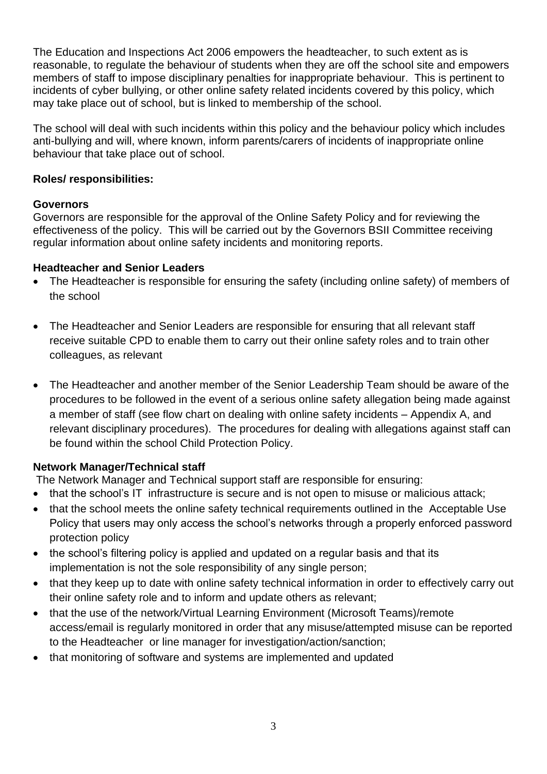The Education and Inspections Act 2006 empowers the headteacher, to such extent as is reasonable, to regulate the behaviour of students when they are off the school site and empowers members of staff to impose disciplinary penalties for inappropriate behaviour. This is pertinent to incidents of cyber bullying, or other online safety related incidents covered by this policy, which may take place out of school, but is linked to membership of the school.

The school will deal with such incidents within this policy and the behaviour policy which includes anti-bullying and will, where known, inform parents/carers of incidents of inappropriate online behaviour that take place out of school.

### **Roles/ responsibilities:**

#### **Governors**

Governors are responsible for the approval of the Online Safety Policy and for reviewing the effectiveness of the policy. This will be carried out by the Governors BSII Committee receiving regular information about online safety incidents and monitoring reports.

#### **Headteacher and Senior Leaders**

- The Headteacher is responsible for ensuring the safety (including online safety) of members of the school
- The Headteacher and Senior Leaders are responsible for ensuring that all relevant staff receive suitable CPD to enable them to carry out their online safety roles and to train other colleagues, as relevant
- The Headteacher and another member of the Senior Leadership Team should be aware of the procedures to be followed in the event of a serious online safety allegation being made against a member of staff (see flow chart on dealing with online safety incidents – Appendix A, and relevant disciplinary procedures). The procedures for dealing with allegations against staff can be found within the school Child Protection Policy.

### **Network Manager/Technical staff**

The Network Manager and Technical support staff are responsible for ensuring:

- that the school's IT infrastructure is secure and is not open to misuse or malicious attack;
- that the school meets the online safety technical requirements outlined in the Acceptable Use Policy that users may only access the school's networks through a properly enforced password protection policy
- the school's filtering policy is applied and updated on a regular basis and that its implementation is not the sole responsibility of any single person;
- that they keep up to date with online safety technical information in order to effectively carry out their online safety role and to inform and update others as relevant;
- that the use of the network/Virtual Learning Environment (Microsoft Teams)/remote access/email is regularly monitored in order that any misuse/attempted misuse can be reported to the Headteacher or line manager for investigation/action/sanction;
- that monitoring of software and systems are implemented and updated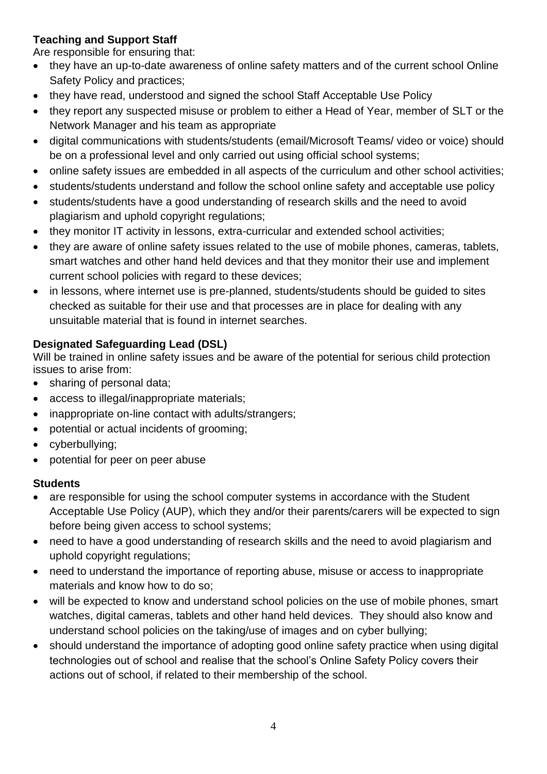# **Teaching and Support Staff**

Are responsible for ensuring that:

- they have an up-to-date awareness of online safety matters and of the current school Online Safety Policy and practices;
- they have read, understood and signed the school Staff Acceptable Use Policy
- they report any suspected misuse or problem to either a Head of Year, member of SLT or the Network Manager and his team as appropriate
- digital communications with students/students (email/Microsoft Teams/ video or voice) should be on a professional level and only carried out using official school systems;
- online safety issues are embedded in all aspects of the curriculum and other school activities;
- students/students understand and follow the school online safety and acceptable use policy
- students/students have a good understanding of research skills and the need to avoid plagiarism and uphold copyright regulations;
- they monitor IT activity in lessons, extra-curricular and extended school activities;
- they are aware of online safety issues related to the use of mobile phones, cameras, tablets, smart watches and other hand held devices and that they monitor their use and implement current school policies with regard to these devices;
- in lessons, where internet use is pre-planned, students/students should be guided to sites checked as suitable for their use and that processes are in place for dealing with any unsuitable material that is found in internet searches.

# **Designated Safeguarding Lead (DSL)**

Will be trained in online safety issues and be aware of the potential for serious child protection issues to arise from:

- sharing of personal data;
- access to illegal/inappropriate materials;
- inappropriate on-line contact with adults/strangers;
- potential or actual incidents of grooming;
- cyberbullying;
- potential for peer on peer abuse

### **Students**

- are responsible for using the school computer systems in accordance with the Student Acceptable Use Policy (AUP), which they and/or their parents/carers will be expected to sign before being given access to school systems;
- need to have a good understanding of research skills and the need to avoid plagiarism and uphold copyright regulations;
- need to understand the importance of reporting abuse, misuse or access to inappropriate materials and know how to do so;
- will be expected to know and understand school policies on the use of mobile phones, smart watches, digital cameras, tablets and other hand held devices. They should also know and understand school policies on the taking/use of images and on cyber bullying;
- should understand the importance of adopting good online safety practice when using digital technologies out of school and realise that the school's Online Safety Policy covers their actions out of school, if related to their membership of the school.